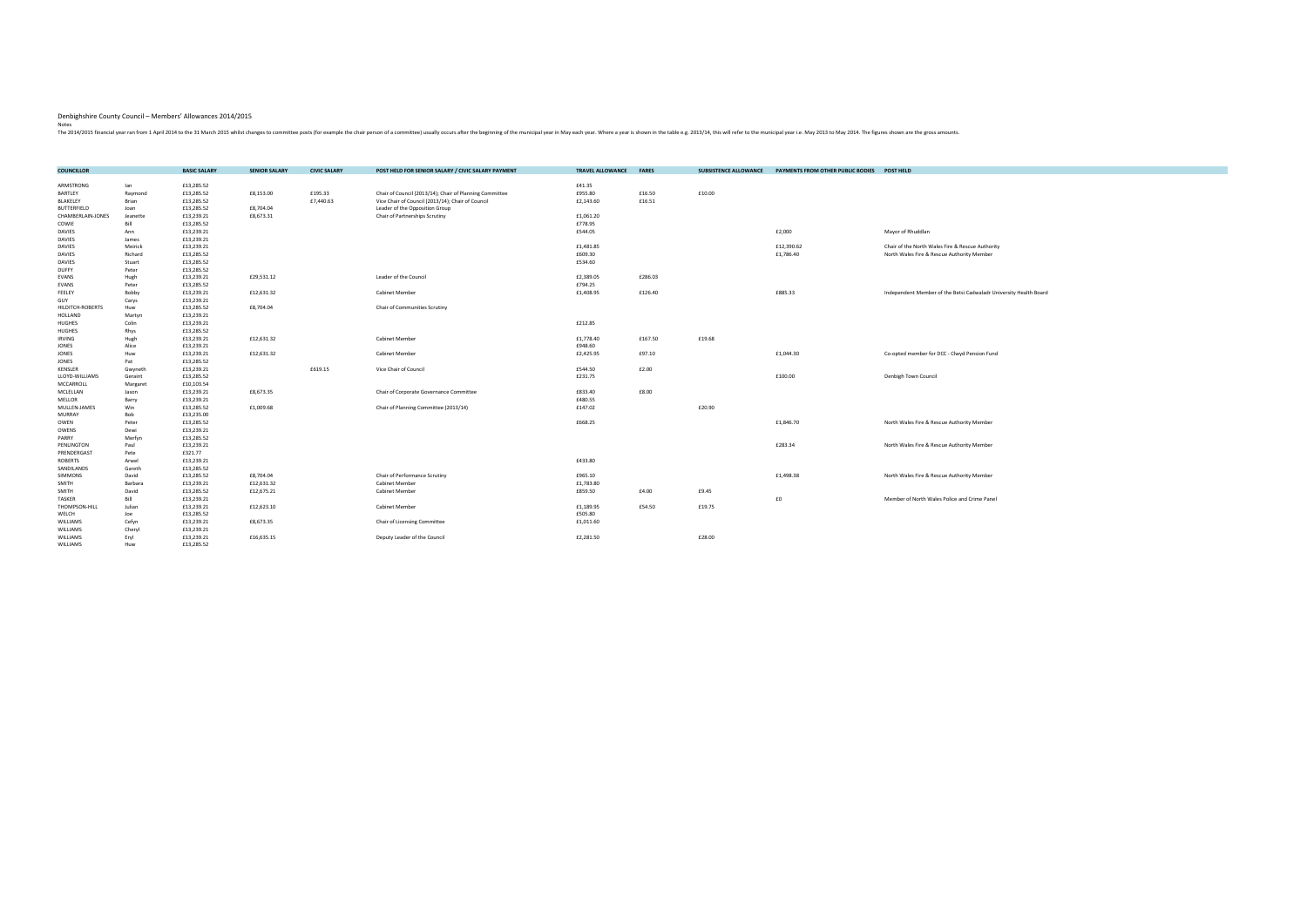| ARMSTRONG<br>£13,285.52<br>£41.35<br>lan<br>£955.80<br>£13,285.52<br>£8,153.00<br>£195.33<br>£16.50<br>£10.00<br>BARTLEY<br>Raymond<br>Chair of Council (2013/14); Chair of Planning Committee<br>£7,440.63<br>£16.51<br>BLAKELEY<br>Brian<br>£13,285.52<br>Vice Chair of Council (2013/14); Chair of Council<br>£2,143.60<br>£13,285.52<br>£8,704.04<br>Leader of the Opposition Group<br><b>BUTTERFIELD</b><br>Joan<br>CHAMBERLAIN-JONES<br>£13,239.21<br>£8,673.31<br>£1,061.20<br>Jeanette<br>Chair of Partnerships Scrutiny<br>COWIE<br>Bill<br>£13,285.52<br>£778.95<br>£13,239.21<br>£544.05<br>£2,000<br>Mayor of Rhuddlan<br><b>DAVIES</b><br>Ann<br><b>DAVIES</b><br>£13,239.21<br>James<br>£13,239.21<br>£1,481.85<br>£12,390.62<br><b>DAVIES</b><br>Meirick<br>Chair of the North Wales Fire & Rescue Authority<br>£609.30<br>£1,786.40<br><b>DAVIES</b><br>Richard<br>£13,285.52<br>North Wales Fire & Rescue Authority Member<br><b>DAVIES</b><br>Stuart<br>£13,285.52<br>£534.60<br><b>DUFFY</b><br>Peter<br>£13,285.52<br>£29,531.12<br>£2,389.05<br>£286.03<br>EVANS<br>Hugh<br>£13,239.21<br>Leader of the Council<br>£794.25<br>Peter<br>£13,285.52<br>EVANS<br>£885.33<br>Bobby<br>£13,239.21<br>£12,631.32<br>£1,408.95<br>£126.40<br>FEELEY<br><b>Cabinet Member</b><br>Independent Member of the Betsi Cadwaladr University Health Board<br>GUY<br>Carys<br>£13,239.21<br>£8,704.04<br>HILDITCH-ROBERTS<br>£13,285.52<br>Chair of Communities Scrutiny<br>Huw<br>£13,239.21<br><b>HOLLAND</b><br>Martyn<br><b>HUGHES</b><br>Colin<br>£13,239.21<br>£212.85<br><b>HUGHES</b><br>Rhys<br>£13,285.52<br>£12,631.32<br>£1,778.40<br>£167.50<br>£19.68<br><b>IRVING</b><br>Hugh<br>£13,239.21<br>Cabinet Member<br>£13,239.21<br>£948.60<br><b>JONES</b><br>Alice<br>£13,239.21<br>£97.10<br>£1,044.30<br>JONES<br>Huw<br>£12,631.32<br>Cabinet Member<br>£2,425.95<br>Co-opted member for DCC - Clwyd Pension Fund<br>£13,285.52<br>JONES<br>Pat<br>£13,239.21<br>£619.15<br>£544.50<br>£2.00<br><b>KENSLER</b><br>Vice Chair of Council<br>Gwyneth<br>£13,285.52<br>£231.75<br>£100.00<br>Geraint<br>Denbigh Town Council<br>LLOYD-WILLIAMS<br>MCCARROLL<br>Margaret<br>£10,103.54<br>£8,673.35<br>£8.00<br>MCLELLAN<br>£13,239.21<br>Chair of Corporate Governance Committee<br>£833.40<br>Jason<br>£13,239.21<br>£480.55<br>MELLOR<br>Barry<br>£1,009.68<br>£20.90<br>MULLEN-JAMES<br>Win<br>£13,285.52<br>Chair of Planning Committee (2013/14)<br>£147.02<br>Bob<br>£13,235.00<br><b>MURRAY</b><br>£668.25<br>£1,846.70<br>Peter<br>£13,285.52<br>North Wales Fire & Rescue Authority Member<br>OWEN<br>OWENS<br>Dewi<br>£13,239.21<br>£13,285.52<br>PARRY<br>Merfyn<br>£13,239.21<br>£283.34<br>PENLINGTON<br>Paul<br>North Wales Fire & Rescue Authority Member<br>£321.77<br>PRENDERGAST<br>Pete<br>£433.80<br>£13,239.21<br>ROBERTS<br>Arwel<br>SANDILANDS<br>Gareth<br>£13,285.52<br>David<br>£13,285.52<br>£8,704.04<br>£965.10<br>£1,498.38<br><b>SIMMONS</b><br>Chair of Performance Scrutiny<br>North Wales Fire & Rescue Authority Member<br>£13,239.21<br>£12,631.32<br>£1,783.80<br>SMITH<br>Barbara<br>Cabinet Member<br>£4.00<br>£9.45<br>SMITH<br>David<br>£13,285.52<br>£12,675.21<br>Cabinet Member<br>£859.50<br>£0<br>Bill<br>TASKER<br>£13,239.21<br>Member of North Wales Police and Crime Panel<br>Julian<br>£13,239.21<br>£12,623.10<br>£1,189.95<br>£54.50<br>£19.75<br>THOMPSON-HILL<br>Cabinet Member<br>£13,285.52<br>£505.80<br>WELCH<br>Joe<br>£8,673.35<br>WILLIAMS<br>Cefyn<br>£13,239.21<br>Chair of Licensing Committee<br>£1,011.60<br>WILLIAMS<br>£13,239.21<br>Cheryl<br>WILLIAMS<br>Eryl<br>£13,239.21<br>£16,635.15<br>Deputy Leader of the Council<br>£2,281.50<br>£28.00<br>WILLIAMS<br>Huw | <b>COUNCILLOR</b> | <b>BASIC SALARY</b> | <b>SENIOR SALARY</b> | <b>CIVIC SALARY</b> | POST HELD FOR SENIOR SALARY / CIVIC SALARY PAYMENT | <b>TRAVEL ALLOWANCE</b> | <b>FARES</b> | <b>SUBSISTENCE ALLOWANCE</b> | PAYMENTS FROM OTHER PUBLIC BODIES | <b>POST HELD</b> |
|-------------------------------------------------------------------------------------------------------------------------------------------------------------------------------------------------------------------------------------------------------------------------------------------------------------------------------------------------------------------------------------------------------------------------------------------------------------------------------------------------------------------------------------------------------------------------------------------------------------------------------------------------------------------------------------------------------------------------------------------------------------------------------------------------------------------------------------------------------------------------------------------------------------------------------------------------------------------------------------------------------------------------------------------------------------------------------------------------------------------------------------------------------------------------------------------------------------------------------------------------------------------------------------------------------------------------------------------------------------------------------------------------------------------------------------------------------------------------------------------------------------------------------------------------------------------------------------------------------------------------------------------------------------------------------------------------------------------------------------------------------------------------------------------------------------------------------------------------------------------------------------------------------------------------------------------------------------------------------------------------------------------------------------------------------------------------------------------------------------------------------------------------------------------------------------------------------------------------------------------------------------------------------------------------------------------------------------------------------------------------------------------------------------------------------------------------------------------------------------------------------------------------------------------------------------------------------------------------------------------------------------------------------------------------------------------------------------------------------------------------------------------------------------------------------------------------------------------------------------------------------------------------------------------------------------------------------------------------------------------------------------------------------------------------------------------------------------------------------------------------------------------------------------------------------------------------------------------------------------------------------------------------------------------------------------------------------------------------------------------------------------------------------------------------------------------------------------------------------------------------------------------------------------------------------------------------------------------------------------------------------------------------------------------------------------------------------------------------------------------------------------|-------------------|---------------------|----------------------|---------------------|----------------------------------------------------|-------------------------|--------------|------------------------------|-----------------------------------|------------------|
|                                                                                                                                                                                                                                                                                                                                                                                                                                                                                                                                                                                                                                                                                                                                                                                                                                                                                                                                                                                                                                                                                                                                                                                                                                                                                                                                                                                                                                                                                                                                                                                                                                                                                                                                                                                                                                                                                                                                                                                                                                                                                                                                                                                                                                                                                                                                                                                                                                                                                                                                                                                                                                                                                                                                                                                                                                                                                                                                                                                                                                                                                                                                                                                                                                                                                                                                                                                                                                                                                                                                                                                                                                                                                                                                                             |                   |                     |                      |                     |                                                    |                         |              |                              |                                   |                  |
|                                                                                                                                                                                                                                                                                                                                                                                                                                                                                                                                                                                                                                                                                                                                                                                                                                                                                                                                                                                                                                                                                                                                                                                                                                                                                                                                                                                                                                                                                                                                                                                                                                                                                                                                                                                                                                                                                                                                                                                                                                                                                                                                                                                                                                                                                                                                                                                                                                                                                                                                                                                                                                                                                                                                                                                                                                                                                                                                                                                                                                                                                                                                                                                                                                                                                                                                                                                                                                                                                                                                                                                                                                                                                                                                                             |                   |                     |                      |                     |                                                    |                         |              |                              |                                   |                  |
|                                                                                                                                                                                                                                                                                                                                                                                                                                                                                                                                                                                                                                                                                                                                                                                                                                                                                                                                                                                                                                                                                                                                                                                                                                                                                                                                                                                                                                                                                                                                                                                                                                                                                                                                                                                                                                                                                                                                                                                                                                                                                                                                                                                                                                                                                                                                                                                                                                                                                                                                                                                                                                                                                                                                                                                                                                                                                                                                                                                                                                                                                                                                                                                                                                                                                                                                                                                                                                                                                                                                                                                                                                                                                                                                                             |                   |                     |                      |                     |                                                    |                         |              |                              |                                   |                  |
|                                                                                                                                                                                                                                                                                                                                                                                                                                                                                                                                                                                                                                                                                                                                                                                                                                                                                                                                                                                                                                                                                                                                                                                                                                                                                                                                                                                                                                                                                                                                                                                                                                                                                                                                                                                                                                                                                                                                                                                                                                                                                                                                                                                                                                                                                                                                                                                                                                                                                                                                                                                                                                                                                                                                                                                                                                                                                                                                                                                                                                                                                                                                                                                                                                                                                                                                                                                                                                                                                                                                                                                                                                                                                                                                                             |                   |                     |                      |                     |                                                    |                         |              |                              |                                   |                  |
|                                                                                                                                                                                                                                                                                                                                                                                                                                                                                                                                                                                                                                                                                                                                                                                                                                                                                                                                                                                                                                                                                                                                                                                                                                                                                                                                                                                                                                                                                                                                                                                                                                                                                                                                                                                                                                                                                                                                                                                                                                                                                                                                                                                                                                                                                                                                                                                                                                                                                                                                                                                                                                                                                                                                                                                                                                                                                                                                                                                                                                                                                                                                                                                                                                                                                                                                                                                                                                                                                                                                                                                                                                                                                                                                                             |                   |                     |                      |                     |                                                    |                         |              |                              |                                   |                  |
|                                                                                                                                                                                                                                                                                                                                                                                                                                                                                                                                                                                                                                                                                                                                                                                                                                                                                                                                                                                                                                                                                                                                                                                                                                                                                                                                                                                                                                                                                                                                                                                                                                                                                                                                                                                                                                                                                                                                                                                                                                                                                                                                                                                                                                                                                                                                                                                                                                                                                                                                                                                                                                                                                                                                                                                                                                                                                                                                                                                                                                                                                                                                                                                                                                                                                                                                                                                                                                                                                                                                                                                                                                                                                                                                                             |                   |                     |                      |                     |                                                    |                         |              |                              |                                   |                  |
|                                                                                                                                                                                                                                                                                                                                                                                                                                                                                                                                                                                                                                                                                                                                                                                                                                                                                                                                                                                                                                                                                                                                                                                                                                                                                                                                                                                                                                                                                                                                                                                                                                                                                                                                                                                                                                                                                                                                                                                                                                                                                                                                                                                                                                                                                                                                                                                                                                                                                                                                                                                                                                                                                                                                                                                                                                                                                                                                                                                                                                                                                                                                                                                                                                                                                                                                                                                                                                                                                                                                                                                                                                                                                                                                                             |                   |                     |                      |                     |                                                    |                         |              |                              |                                   |                  |
|                                                                                                                                                                                                                                                                                                                                                                                                                                                                                                                                                                                                                                                                                                                                                                                                                                                                                                                                                                                                                                                                                                                                                                                                                                                                                                                                                                                                                                                                                                                                                                                                                                                                                                                                                                                                                                                                                                                                                                                                                                                                                                                                                                                                                                                                                                                                                                                                                                                                                                                                                                                                                                                                                                                                                                                                                                                                                                                                                                                                                                                                                                                                                                                                                                                                                                                                                                                                                                                                                                                                                                                                                                                                                                                                                             |                   |                     |                      |                     |                                                    |                         |              |                              |                                   |                  |
|                                                                                                                                                                                                                                                                                                                                                                                                                                                                                                                                                                                                                                                                                                                                                                                                                                                                                                                                                                                                                                                                                                                                                                                                                                                                                                                                                                                                                                                                                                                                                                                                                                                                                                                                                                                                                                                                                                                                                                                                                                                                                                                                                                                                                                                                                                                                                                                                                                                                                                                                                                                                                                                                                                                                                                                                                                                                                                                                                                                                                                                                                                                                                                                                                                                                                                                                                                                                                                                                                                                                                                                                                                                                                                                                                             |                   |                     |                      |                     |                                                    |                         |              |                              |                                   |                  |
|                                                                                                                                                                                                                                                                                                                                                                                                                                                                                                                                                                                                                                                                                                                                                                                                                                                                                                                                                                                                                                                                                                                                                                                                                                                                                                                                                                                                                                                                                                                                                                                                                                                                                                                                                                                                                                                                                                                                                                                                                                                                                                                                                                                                                                                                                                                                                                                                                                                                                                                                                                                                                                                                                                                                                                                                                                                                                                                                                                                                                                                                                                                                                                                                                                                                                                                                                                                                                                                                                                                                                                                                                                                                                                                                                             |                   |                     |                      |                     |                                                    |                         |              |                              |                                   |                  |
|                                                                                                                                                                                                                                                                                                                                                                                                                                                                                                                                                                                                                                                                                                                                                                                                                                                                                                                                                                                                                                                                                                                                                                                                                                                                                                                                                                                                                                                                                                                                                                                                                                                                                                                                                                                                                                                                                                                                                                                                                                                                                                                                                                                                                                                                                                                                                                                                                                                                                                                                                                                                                                                                                                                                                                                                                                                                                                                                                                                                                                                                                                                                                                                                                                                                                                                                                                                                                                                                                                                                                                                                                                                                                                                                                             |                   |                     |                      |                     |                                                    |                         |              |                              |                                   |                  |
|                                                                                                                                                                                                                                                                                                                                                                                                                                                                                                                                                                                                                                                                                                                                                                                                                                                                                                                                                                                                                                                                                                                                                                                                                                                                                                                                                                                                                                                                                                                                                                                                                                                                                                                                                                                                                                                                                                                                                                                                                                                                                                                                                                                                                                                                                                                                                                                                                                                                                                                                                                                                                                                                                                                                                                                                                                                                                                                                                                                                                                                                                                                                                                                                                                                                                                                                                                                                                                                                                                                                                                                                                                                                                                                                                             |                   |                     |                      |                     |                                                    |                         |              |                              |                                   |                  |
|                                                                                                                                                                                                                                                                                                                                                                                                                                                                                                                                                                                                                                                                                                                                                                                                                                                                                                                                                                                                                                                                                                                                                                                                                                                                                                                                                                                                                                                                                                                                                                                                                                                                                                                                                                                                                                                                                                                                                                                                                                                                                                                                                                                                                                                                                                                                                                                                                                                                                                                                                                                                                                                                                                                                                                                                                                                                                                                                                                                                                                                                                                                                                                                                                                                                                                                                                                                                                                                                                                                                                                                                                                                                                                                                                             |                   |                     |                      |                     |                                                    |                         |              |                              |                                   |                  |
|                                                                                                                                                                                                                                                                                                                                                                                                                                                                                                                                                                                                                                                                                                                                                                                                                                                                                                                                                                                                                                                                                                                                                                                                                                                                                                                                                                                                                                                                                                                                                                                                                                                                                                                                                                                                                                                                                                                                                                                                                                                                                                                                                                                                                                                                                                                                                                                                                                                                                                                                                                                                                                                                                                                                                                                                                                                                                                                                                                                                                                                                                                                                                                                                                                                                                                                                                                                                                                                                                                                                                                                                                                                                                                                                                             |                   |                     |                      |                     |                                                    |                         |              |                              |                                   |                  |
|                                                                                                                                                                                                                                                                                                                                                                                                                                                                                                                                                                                                                                                                                                                                                                                                                                                                                                                                                                                                                                                                                                                                                                                                                                                                                                                                                                                                                                                                                                                                                                                                                                                                                                                                                                                                                                                                                                                                                                                                                                                                                                                                                                                                                                                                                                                                                                                                                                                                                                                                                                                                                                                                                                                                                                                                                                                                                                                                                                                                                                                                                                                                                                                                                                                                                                                                                                                                                                                                                                                                                                                                                                                                                                                                                             |                   |                     |                      |                     |                                                    |                         |              |                              |                                   |                  |
|                                                                                                                                                                                                                                                                                                                                                                                                                                                                                                                                                                                                                                                                                                                                                                                                                                                                                                                                                                                                                                                                                                                                                                                                                                                                                                                                                                                                                                                                                                                                                                                                                                                                                                                                                                                                                                                                                                                                                                                                                                                                                                                                                                                                                                                                                                                                                                                                                                                                                                                                                                                                                                                                                                                                                                                                                                                                                                                                                                                                                                                                                                                                                                                                                                                                                                                                                                                                                                                                                                                                                                                                                                                                                                                                                             |                   |                     |                      |                     |                                                    |                         |              |                              |                                   |                  |
|                                                                                                                                                                                                                                                                                                                                                                                                                                                                                                                                                                                                                                                                                                                                                                                                                                                                                                                                                                                                                                                                                                                                                                                                                                                                                                                                                                                                                                                                                                                                                                                                                                                                                                                                                                                                                                                                                                                                                                                                                                                                                                                                                                                                                                                                                                                                                                                                                                                                                                                                                                                                                                                                                                                                                                                                                                                                                                                                                                                                                                                                                                                                                                                                                                                                                                                                                                                                                                                                                                                                                                                                                                                                                                                                                             |                   |                     |                      |                     |                                                    |                         |              |                              |                                   |                  |
|                                                                                                                                                                                                                                                                                                                                                                                                                                                                                                                                                                                                                                                                                                                                                                                                                                                                                                                                                                                                                                                                                                                                                                                                                                                                                                                                                                                                                                                                                                                                                                                                                                                                                                                                                                                                                                                                                                                                                                                                                                                                                                                                                                                                                                                                                                                                                                                                                                                                                                                                                                                                                                                                                                                                                                                                                                                                                                                                                                                                                                                                                                                                                                                                                                                                                                                                                                                                                                                                                                                                                                                                                                                                                                                                                             |                   |                     |                      |                     |                                                    |                         |              |                              |                                   |                  |
|                                                                                                                                                                                                                                                                                                                                                                                                                                                                                                                                                                                                                                                                                                                                                                                                                                                                                                                                                                                                                                                                                                                                                                                                                                                                                                                                                                                                                                                                                                                                                                                                                                                                                                                                                                                                                                                                                                                                                                                                                                                                                                                                                                                                                                                                                                                                                                                                                                                                                                                                                                                                                                                                                                                                                                                                                                                                                                                                                                                                                                                                                                                                                                                                                                                                                                                                                                                                                                                                                                                                                                                                                                                                                                                                                             |                   |                     |                      |                     |                                                    |                         |              |                              |                                   |                  |
|                                                                                                                                                                                                                                                                                                                                                                                                                                                                                                                                                                                                                                                                                                                                                                                                                                                                                                                                                                                                                                                                                                                                                                                                                                                                                                                                                                                                                                                                                                                                                                                                                                                                                                                                                                                                                                                                                                                                                                                                                                                                                                                                                                                                                                                                                                                                                                                                                                                                                                                                                                                                                                                                                                                                                                                                                                                                                                                                                                                                                                                                                                                                                                                                                                                                                                                                                                                                                                                                                                                                                                                                                                                                                                                                                             |                   |                     |                      |                     |                                                    |                         |              |                              |                                   |                  |
|                                                                                                                                                                                                                                                                                                                                                                                                                                                                                                                                                                                                                                                                                                                                                                                                                                                                                                                                                                                                                                                                                                                                                                                                                                                                                                                                                                                                                                                                                                                                                                                                                                                                                                                                                                                                                                                                                                                                                                                                                                                                                                                                                                                                                                                                                                                                                                                                                                                                                                                                                                                                                                                                                                                                                                                                                                                                                                                                                                                                                                                                                                                                                                                                                                                                                                                                                                                                                                                                                                                                                                                                                                                                                                                                                             |                   |                     |                      |                     |                                                    |                         |              |                              |                                   |                  |
|                                                                                                                                                                                                                                                                                                                                                                                                                                                                                                                                                                                                                                                                                                                                                                                                                                                                                                                                                                                                                                                                                                                                                                                                                                                                                                                                                                                                                                                                                                                                                                                                                                                                                                                                                                                                                                                                                                                                                                                                                                                                                                                                                                                                                                                                                                                                                                                                                                                                                                                                                                                                                                                                                                                                                                                                                                                                                                                                                                                                                                                                                                                                                                                                                                                                                                                                                                                                                                                                                                                                                                                                                                                                                                                                                             |                   |                     |                      |                     |                                                    |                         |              |                              |                                   |                  |
|                                                                                                                                                                                                                                                                                                                                                                                                                                                                                                                                                                                                                                                                                                                                                                                                                                                                                                                                                                                                                                                                                                                                                                                                                                                                                                                                                                                                                                                                                                                                                                                                                                                                                                                                                                                                                                                                                                                                                                                                                                                                                                                                                                                                                                                                                                                                                                                                                                                                                                                                                                                                                                                                                                                                                                                                                                                                                                                                                                                                                                                                                                                                                                                                                                                                                                                                                                                                                                                                                                                                                                                                                                                                                                                                                             |                   |                     |                      |                     |                                                    |                         |              |                              |                                   |                  |
|                                                                                                                                                                                                                                                                                                                                                                                                                                                                                                                                                                                                                                                                                                                                                                                                                                                                                                                                                                                                                                                                                                                                                                                                                                                                                                                                                                                                                                                                                                                                                                                                                                                                                                                                                                                                                                                                                                                                                                                                                                                                                                                                                                                                                                                                                                                                                                                                                                                                                                                                                                                                                                                                                                                                                                                                                                                                                                                                                                                                                                                                                                                                                                                                                                                                                                                                                                                                                                                                                                                                                                                                                                                                                                                                                             |                   |                     |                      |                     |                                                    |                         |              |                              |                                   |                  |
|                                                                                                                                                                                                                                                                                                                                                                                                                                                                                                                                                                                                                                                                                                                                                                                                                                                                                                                                                                                                                                                                                                                                                                                                                                                                                                                                                                                                                                                                                                                                                                                                                                                                                                                                                                                                                                                                                                                                                                                                                                                                                                                                                                                                                                                                                                                                                                                                                                                                                                                                                                                                                                                                                                                                                                                                                                                                                                                                                                                                                                                                                                                                                                                                                                                                                                                                                                                                                                                                                                                                                                                                                                                                                                                                                             |                   |                     |                      |                     |                                                    |                         |              |                              |                                   |                  |
|                                                                                                                                                                                                                                                                                                                                                                                                                                                                                                                                                                                                                                                                                                                                                                                                                                                                                                                                                                                                                                                                                                                                                                                                                                                                                                                                                                                                                                                                                                                                                                                                                                                                                                                                                                                                                                                                                                                                                                                                                                                                                                                                                                                                                                                                                                                                                                                                                                                                                                                                                                                                                                                                                                                                                                                                                                                                                                                                                                                                                                                                                                                                                                                                                                                                                                                                                                                                                                                                                                                                                                                                                                                                                                                                                             |                   |                     |                      |                     |                                                    |                         |              |                              |                                   |                  |
|                                                                                                                                                                                                                                                                                                                                                                                                                                                                                                                                                                                                                                                                                                                                                                                                                                                                                                                                                                                                                                                                                                                                                                                                                                                                                                                                                                                                                                                                                                                                                                                                                                                                                                                                                                                                                                                                                                                                                                                                                                                                                                                                                                                                                                                                                                                                                                                                                                                                                                                                                                                                                                                                                                                                                                                                                                                                                                                                                                                                                                                                                                                                                                                                                                                                                                                                                                                                                                                                                                                                                                                                                                                                                                                                                             |                   |                     |                      |                     |                                                    |                         |              |                              |                                   |                  |
|                                                                                                                                                                                                                                                                                                                                                                                                                                                                                                                                                                                                                                                                                                                                                                                                                                                                                                                                                                                                                                                                                                                                                                                                                                                                                                                                                                                                                                                                                                                                                                                                                                                                                                                                                                                                                                                                                                                                                                                                                                                                                                                                                                                                                                                                                                                                                                                                                                                                                                                                                                                                                                                                                                                                                                                                                                                                                                                                                                                                                                                                                                                                                                                                                                                                                                                                                                                                                                                                                                                                                                                                                                                                                                                                                             |                   |                     |                      |                     |                                                    |                         |              |                              |                                   |                  |
|                                                                                                                                                                                                                                                                                                                                                                                                                                                                                                                                                                                                                                                                                                                                                                                                                                                                                                                                                                                                                                                                                                                                                                                                                                                                                                                                                                                                                                                                                                                                                                                                                                                                                                                                                                                                                                                                                                                                                                                                                                                                                                                                                                                                                                                                                                                                                                                                                                                                                                                                                                                                                                                                                                                                                                                                                                                                                                                                                                                                                                                                                                                                                                                                                                                                                                                                                                                                                                                                                                                                                                                                                                                                                                                                                             |                   |                     |                      |                     |                                                    |                         |              |                              |                                   |                  |
|                                                                                                                                                                                                                                                                                                                                                                                                                                                                                                                                                                                                                                                                                                                                                                                                                                                                                                                                                                                                                                                                                                                                                                                                                                                                                                                                                                                                                                                                                                                                                                                                                                                                                                                                                                                                                                                                                                                                                                                                                                                                                                                                                                                                                                                                                                                                                                                                                                                                                                                                                                                                                                                                                                                                                                                                                                                                                                                                                                                                                                                                                                                                                                                                                                                                                                                                                                                                                                                                                                                                                                                                                                                                                                                                                             |                   |                     |                      |                     |                                                    |                         |              |                              |                                   |                  |
|                                                                                                                                                                                                                                                                                                                                                                                                                                                                                                                                                                                                                                                                                                                                                                                                                                                                                                                                                                                                                                                                                                                                                                                                                                                                                                                                                                                                                                                                                                                                                                                                                                                                                                                                                                                                                                                                                                                                                                                                                                                                                                                                                                                                                                                                                                                                                                                                                                                                                                                                                                                                                                                                                                                                                                                                                                                                                                                                                                                                                                                                                                                                                                                                                                                                                                                                                                                                                                                                                                                                                                                                                                                                                                                                                             |                   |                     |                      |                     |                                                    |                         |              |                              |                                   |                  |
|                                                                                                                                                                                                                                                                                                                                                                                                                                                                                                                                                                                                                                                                                                                                                                                                                                                                                                                                                                                                                                                                                                                                                                                                                                                                                                                                                                                                                                                                                                                                                                                                                                                                                                                                                                                                                                                                                                                                                                                                                                                                                                                                                                                                                                                                                                                                                                                                                                                                                                                                                                                                                                                                                                                                                                                                                                                                                                                                                                                                                                                                                                                                                                                                                                                                                                                                                                                                                                                                                                                                                                                                                                                                                                                                                             |                   |                     |                      |                     |                                                    |                         |              |                              |                                   |                  |
|                                                                                                                                                                                                                                                                                                                                                                                                                                                                                                                                                                                                                                                                                                                                                                                                                                                                                                                                                                                                                                                                                                                                                                                                                                                                                                                                                                                                                                                                                                                                                                                                                                                                                                                                                                                                                                                                                                                                                                                                                                                                                                                                                                                                                                                                                                                                                                                                                                                                                                                                                                                                                                                                                                                                                                                                                                                                                                                                                                                                                                                                                                                                                                                                                                                                                                                                                                                                                                                                                                                                                                                                                                                                                                                                                             |                   |                     |                      |                     |                                                    |                         |              |                              |                                   |                  |
|                                                                                                                                                                                                                                                                                                                                                                                                                                                                                                                                                                                                                                                                                                                                                                                                                                                                                                                                                                                                                                                                                                                                                                                                                                                                                                                                                                                                                                                                                                                                                                                                                                                                                                                                                                                                                                                                                                                                                                                                                                                                                                                                                                                                                                                                                                                                                                                                                                                                                                                                                                                                                                                                                                                                                                                                                                                                                                                                                                                                                                                                                                                                                                                                                                                                                                                                                                                                                                                                                                                                                                                                                                                                                                                                                             |                   |                     |                      |                     |                                                    |                         |              |                              |                                   |                  |
|                                                                                                                                                                                                                                                                                                                                                                                                                                                                                                                                                                                                                                                                                                                                                                                                                                                                                                                                                                                                                                                                                                                                                                                                                                                                                                                                                                                                                                                                                                                                                                                                                                                                                                                                                                                                                                                                                                                                                                                                                                                                                                                                                                                                                                                                                                                                                                                                                                                                                                                                                                                                                                                                                                                                                                                                                                                                                                                                                                                                                                                                                                                                                                                                                                                                                                                                                                                                                                                                                                                                                                                                                                                                                                                                                             |                   |                     |                      |                     |                                                    |                         |              |                              |                                   |                  |
|                                                                                                                                                                                                                                                                                                                                                                                                                                                                                                                                                                                                                                                                                                                                                                                                                                                                                                                                                                                                                                                                                                                                                                                                                                                                                                                                                                                                                                                                                                                                                                                                                                                                                                                                                                                                                                                                                                                                                                                                                                                                                                                                                                                                                                                                                                                                                                                                                                                                                                                                                                                                                                                                                                                                                                                                                                                                                                                                                                                                                                                                                                                                                                                                                                                                                                                                                                                                                                                                                                                                                                                                                                                                                                                                                             |                   |                     |                      |                     |                                                    |                         |              |                              |                                   |                  |
|                                                                                                                                                                                                                                                                                                                                                                                                                                                                                                                                                                                                                                                                                                                                                                                                                                                                                                                                                                                                                                                                                                                                                                                                                                                                                                                                                                                                                                                                                                                                                                                                                                                                                                                                                                                                                                                                                                                                                                                                                                                                                                                                                                                                                                                                                                                                                                                                                                                                                                                                                                                                                                                                                                                                                                                                                                                                                                                                                                                                                                                                                                                                                                                                                                                                                                                                                                                                                                                                                                                                                                                                                                                                                                                                                             |                   |                     |                      |                     |                                                    |                         |              |                              |                                   |                  |
|                                                                                                                                                                                                                                                                                                                                                                                                                                                                                                                                                                                                                                                                                                                                                                                                                                                                                                                                                                                                                                                                                                                                                                                                                                                                                                                                                                                                                                                                                                                                                                                                                                                                                                                                                                                                                                                                                                                                                                                                                                                                                                                                                                                                                                                                                                                                                                                                                                                                                                                                                                                                                                                                                                                                                                                                                                                                                                                                                                                                                                                                                                                                                                                                                                                                                                                                                                                                                                                                                                                                                                                                                                                                                                                                                             |                   |                     |                      |                     |                                                    |                         |              |                              |                                   |                  |
|                                                                                                                                                                                                                                                                                                                                                                                                                                                                                                                                                                                                                                                                                                                                                                                                                                                                                                                                                                                                                                                                                                                                                                                                                                                                                                                                                                                                                                                                                                                                                                                                                                                                                                                                                                                                                                                                                                                                                                                                                                                                                                                                                                                                                                                                                                                                                                                                                                                                                                                                                                                                                                                                                                                                                                                                                                                                                                                                                                                                                                                                                                                                                                                                                                                                                                                                                                                                                                                                                                                                                                                                                                                                                                                                                             |                   |                     |                      |                     |                                                    |                         |              |                              |                                   |                  |
|                                                                                                                                                                                                                                                                                                                                                                                                                                                                                                                                                                                                                                                                                                                                                                                                                                                                                                                                                                                                                                                                                                                                                                                                                                                                                                                                                                                                                                                                                                                                                                                                                                                                                                                                                                                                                                                                                                                                                                                                                                                                                                                                                                                                                                                                                                                                                                                                                                                                                                                                                                                                                                                                                                                                                                                                                                                                                                                                                                                                                                                                                                                                                                                                                                                                                                                                                                                                                                                                                                                                                                                                                                                                                                                                                             |                   |                     |                      |                     |                                                    |                         |              |                              |                                   |                  |
|                                                                                                                                                                                                                                                                                                                                                                                                                                                                                                                                                                                                                                                                                                                                                                                                                                                                                                                                                                                                                                                                                                                                                                                                                                                                                                                                                                                                                                                                                                                                                                                                                                                                                                                                                                                                                                                                                                                                                                                                                                                                                                                                                                                                                                                                                                                                                                                                                                                                                                                                                                                                                                                                                                                                                                                                                                                                                                                                                                                                                                                                                                                                                                                                                                                                                                                                                                                                                                                                                                                                                                                                                                                                                                                                                             |                   |                     |                      |                     |                                                    |                         |              |                              |                                   |                  |
|                                                                                                                                                                                                                                                                                                                                                                                                                                                                                                                                                                                                                                                                                                                                                                                                                                                                                                                                                                                                                                                                                                                                                                                                                                                                                                                                                                                                                                                                                                                                                                                                                                                                                                                                                                                                                                                                                                                                                                                                                                                                                                                                                                                                                                                                                                                                                                                                                                                                                                                                                                                                                                                                                                                                                                                                                                                                                                                                                                                                                                                                                                                                                                                                                                                                                                                                                                                                                                                                                                                                                                                                                                                                                                                                                             |                   |                     |                      |                     |                                                    |                         |              |                              |                                   |                  |
|                                                                                                                                                                                                                                                                                                                                                                                                                                                                                                                                                                                                                                                                                                                                                                                                                                                                                                                                                                                                                                                                                                                                                                                                                                                                                                                                                                                                                                                                                                                                                                                                                                                                                                                                                                                                                                                                                                                                                                                                                                                                                                                                                                                                                                                                                                                                                                                                                                                                                                                                                                                                                                                                                                                                                                                                                                                                                                                                                                                                                                                                                                                                                                                                                                                                                                                                                                                                                                                                                                                                                                                                                                                                                                                                                             |                   |                     |                      |                     |                                                    |                         |              |                              |                                   |                  |
|                                                                                                                                                                                                                                                                                                                                                                                                                                                                                                                                                                                                                                                                                                                                                                                                                                                                                                                                                                                                                                                                                                                                                                                                                                                                                                                                                                                                                                                                                                                                                                                                                                                                                                                                                                                                                                                                                                                                                                                                                                                                                                                                                                                                                                                                                                                                                                                                                                                                                                                                                                                                                                                                                                                                                                                                                                                                                                                                                                                                                                                                                                                                                                                                                                                                                                                                                                                                                                                                                                                                                                                                                                                                                                                                                             |                   |                     |                      |                     |                                                    |                         |              |                              |                                   |                  |
|                                                                                                                                                                                                                                                                                                                                                                                                                                                                                                                                                                                                                                                                                                                                                                                                                                                                                                                                                                                                                                                                                                                                                                                                                                                                                                                                                                                                                                                                                                                                                                                                                                                                                                                                                                                                                                                                                                                                                                                                                                                                                                                                                                                                                                                                                                                                                                                                                                                                                                                                                                                                                                                                                                                                                                                                                                                                                                                                                                                                                                                                                                                                                                                                                                                                                                                                                                                                                                                                                                                                                                                                                                                                                                                                                             |                   |                     |                      |                     |                                                    |                         |              |                              |                                   |                  |
|                                                                                                                                                                                                                                                                                                                                                                                                                                                                                                                                                                                                                                                                                                                                                                                                                                                                                                                                                                                                                                                                                                                                                                                                                                                                                                                                                                                                                                                                                                                                                                                                                                                                                                                                                                                                                                                                                                                                                                                                                                                                                                                                                                                                                                                                                                                                                                                                                                                                                                                                                                                                                                                                                                                                                                                                                                                                                                                                                                                                                                                                                                                                                                                                                                                                                                                                                                                                                                                                                                                                                                                                                                                                                                                                                             |                   |                     |                      |                     |                                                    |                         |              |                              |                                   |                  |
|                                                                                                                                                                                                                                                                                                                                                                                                                                                                                                                                                                                                                                                                                                                                                                                                                                                                                                                                                                                                                                                                                                                                                                                                                                                                                                                                                                                                                                                                                                                                                                                                                                                                                                                                                                                                                                                                                                                                                                                                                                                                                                                                                                                                                                                                                                                                                                                                                                                                                                                                                                                                                                                                                                                                                                                                                                                                                                                                                                                                                                                                                                                                                                                                                                                                                                                                                                                                                                                                                                                                                                                                                                                                                                                                                             |                   |                     |                      |                     |                                                    |                         |              |                              |                                   |                  |
|                                                                                                                                                                                                                                                                                                                                                                                                                                                                                                                                                                                                                                                                                                                                                                                                                                                                                                                                                                                                                                                                                                                                                                                                                                                                                                                                                                                                                                                                                                                                                                                                                                                                                                                                                                                                                                                                                                                                                                                                                                                                                                                                                                                                                                                                                                                                                                                                                                                                                                                                                                                                                                                                                                                                                                                                                                                                                                                                                                                                                                                                                                                                                                                                                                                                                                                                                                                                                                                                                                                                                                                                                                                                                                                                                             |                   |                     |                      |                     |                                                    |                         |              |                              |                                   |                  |
|                                                                                                                                                                                                                                                                                                                                                                                                                                                                                                                                                                                                                                                                                                                                                                                                                                                                                                                                                                                                                                                                                                                                                                                                                                                                                                                                                                                                                                                                                                                                                                                                                                                                                                                                                                                                                                                                                                                                                                                                                                                                                                                                                                                                                                                                                                                                                                                                                                                                                                                                                                                                                                                                                                                                                                                                                                                                                                                                                                                                                                                                                                                                                                                                                                                                                                                                                                                                                                                                                                                                                                                                                                                                                                                                                             |                   | £13,285.52          |                      |                     |                                                    |                         |              |                              |                                   |                  |

## Denbighshire County Council – Members' Allowances 2014/2015

Notes<br>The 2014/2015 financial year ran from 1 April 2014 to the 31 March 2015 whilst changes to committee posts (for example the chair person of a committee) usually occurs after the beginning of the municipal year in May